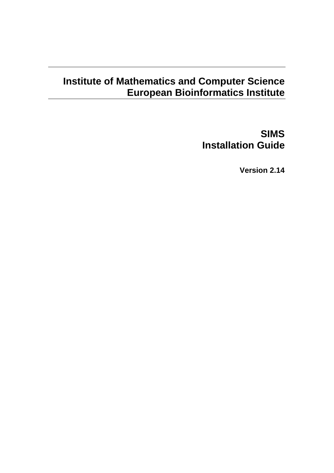# **Institute of Mathematics and Computer Science European Bioinformatics Institute**

**SIMS Installation Guide** 

**Version 2.14**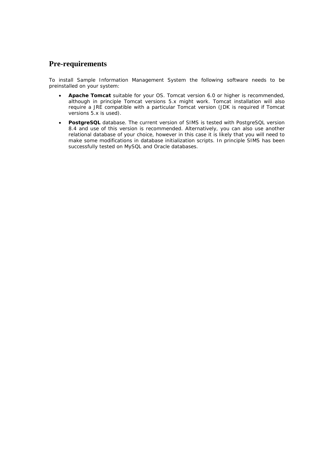# **Pre-requirements**

To install Sample Information Management System the following software needs to be preinstalled on your system:

- **Apache Tomcat** suitable for your OS. Tomcat version 6.0 or higher is recommended, although in principle Tomcat versions 5.x *might* work. Tomcat installation will also require a JRE compatible with a particular Tomcat version (JDK is required if Tomcat versions 5.x is used).
- **PostgreSQL** database. The current version of SIMS is tested with PostgreSQL version 8.4 and use of this version is recommended. Alternatively, you can also use another relational database of your choice, however in this case it is likely that you will need to make some modifications in database initialization scripts. In principle SIMS has been successfully tested on MySQL and Oracle databases.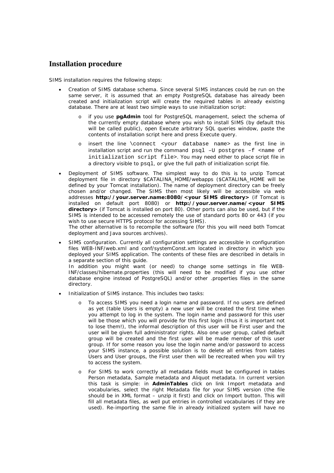## **Installation procedure**

SIMS installation requires the following steps:

- Creation of SIMS database schema. Since several SIMS instances could be run on the same server, it is assumed that an empty PostgreSQL database has already been created and initialization script will create the required tables in already existing database. There are at least two simple ways to use initialization script:
	- if you use **pgAdmin** tool for PostgreSQL management, select the schema of the currently empty database where you wish to install SIMS (by default this will be called *public*), open *Execute arbitrary SQL queries* window, paste the contents of installation script here and press *Execute query*.
	- o insert the line \connect <your database name> as the first line in installation script and run the command psql –U postgres –f <name of initialization script file>. You may need either to place script file in a directory visible to psql, or give the full path of initialization script file.
- Deployment of SIMS software. The simplest way to do this is to unzip Tomcat deployment file in directory \$CATALINA\_HOME/webapps (\$CATALINA\_HOME will be defined by your Tomcat installation). The name of deployment directory can be freely chosen and/or changed. The SIMS then most likely will be accessible via web addresses **http://your.server.name:8080/<your SIMS directory>** (if Tomcat is installed on default port 8080) or **http://your.server.name/<your SIMS directory>** (if Tomcat is installed on port 80). Other ports can also be used, but if the SIMS is intended to be accessed remotely the use of standard ports 80 or 443 (if you wish to use secure HTTPS protocol for accessing SIMS). The other alternative is to recompile the software (for this you will need both Tomcat deployment and Java sources archives).
- SIMS configuration. Currently all configuration settings are accessible in configuration files WEB-INF/web.xml and conf/systemConst.xm located in directory in which you deployed your SIMS application. The contents of these files are described in details in a separate section of this guide.

In addition you might want (or need) to change some settings in file WEB-INF/classes/hibernate.properties (this will need to be modified if you use other database engine instead of PostgreSQL) and/or other .properties files in the same directory.

- Initialization of SIMS instance. This includes two tasks:
	- o To access SIMS you need a login name and password. If no users are defined as yet (table *Users* is empty) a new user will be created the first time when you attempt to log in the system. The *login name and password for this user will be those which you will provide for this first login* (thus it is important not to lose them!), the informal description of this user will be *First user* and the user will be given full administrator rights. Also one user group, called *default group* will be created and the first user will be made member of this user group. If for some reason you lose the login name and/or password to access your SIMS instance, a possible solution is to delete all entries from tables *Users* and *User groups*, the *First user* then will be recreated when you will try to access the system.
	- For SIMS to work correctly all metadata fields must be configured in tables *Person metadata*, *Sample metadata* and *Aliquot metadata*. In current version this task is simple: in **AdminTables** click on link I*mport metadata and vocabularies*, select the right *Metadata file* for your SIMS version (the file should be in XML format – unzip it first) and click on *Import* button. This will fill all metadata files, as well put entries in controlled vocabularies (if they are used). Re-importing the same file in already initialized system will have no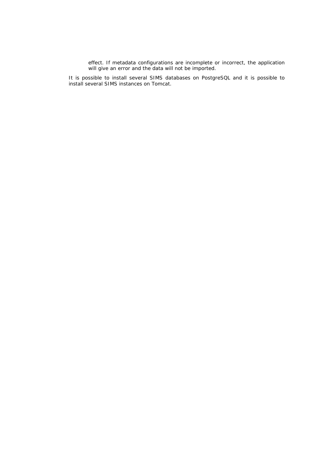effect. If metadata configurations are incomplete or incorrect, the application will give an error and the data will not be imported.

It is possible to install several SIMS databases on PostgreSQL and it is possible to install several SIMS instances on Tomcat.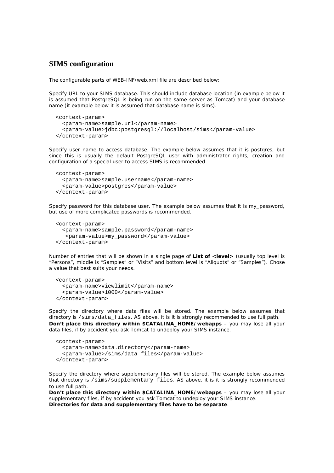### **SIMS configuration**

The configurable parts of WEB-INF/web.xml file are described below:

Specify URL to your SIMS database. This should include database location (in example below it is assumed that PostgreSQL is being run on the same server as Tomcat) and your database name (it example below it is assumed that database name is *sims*).

```
 <context-param> 
   <param-name>sample.url</param-name> 
   <param-value>jdbc:postgresql://localhost/sims</param-value> 
 </context-param>
```
Specify user name to access database. The example below assumes that it is *postgres*, but since this is usually the default PostgreSQL user with administrator rights, creation and configuration of a special user to access SIMS is recommended.

```
 <context-param> 
   <param-name>sample.username</param-name> 
   <param-value>postgres</param-value> 
 </context-param>
```
Specify password for this database user. The example below assumes that it is *my\_password*, but use of more complicated passwords is recommended.

```
 <context-param> 
   <param-name>sample.password</param-name> 
    <param-value>my_password</param-value> 
 </context-param>
```
Number of entries that will be shown in a single page of **List of <level>** (usually top level is "Persons", middle is "Samples" or "Visits" and bottom level is "Aliquots" or "Samples"). Chose a value that best suits your needs.

```
 <context-param> 
   <param-name>viewlimit</param-name> 
   <param-value>1000</param-value> 
 </context-param>
```
Specify the directory where data files will be stored. The example below assumes that directory is /sims/data\_files. AS above, it is it is strongly recommended to use full path. **Don't place this directory within \$CATALINA\_HOME/webapps** – you may lose all your data files, if by accident you ask Tomcat to undeploy your SIMS instance.

```
 <context-param> 
   <param-name>data.directory</param-name> 
   <param-value>/sims/data_files</param-value> 
 </context-param>
```
Specify the directory where supplementary files will be stored. The example below assumes that directory is /sims/supplementary\_files. AS above, it is it is strongly recommended to use full path.

**Don't place this directory within \$CATALINA\_HOME/webapps** – you may lose all your supplementary files, if by accident you ask Tomcat to undeploy your SIMS instance. **Directories for data and supplementary files have to be separate**.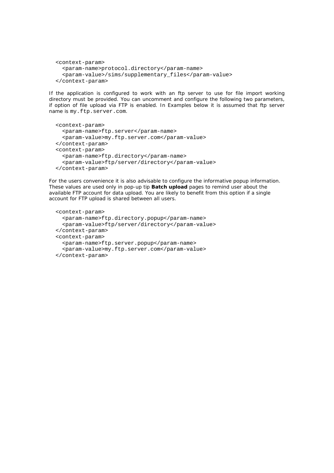```
 <context-param> 
   <param-name>protocol.directory</param-name> 
   <param-value>/sims/supplementary_files</param-value> 
 </context-param>
```
If the application is configured to work with an ftp server to use for file import working directory must be provided. You can uncomment and configure the following two parameters, if option of file upload via FTP is enabled. In Examples below it is assumed that ftp server name is my.ftp.server.com.

```
 <context-param> 
   <param-name>ftp.server</param-name> 
   <param-value>my.ftp.server.com</param-value> 
 </context-param> 
 <context-param> 
   <param-name>ftp.directory</param-name> 
   <param-value>ftp/server/directory</param-value> 
 </context-param>
```
For the users convenience it is also advisable to configure the informative popup information. These values are used only in pop-up tip **Batch upload** pages to remind user about the available FTP account for data upload. You are likely to benefit from this option if a single account for FTP upload is shared between all users.

```
 <context-param> 
   <param-name>ftp.directory.popup</param-name> 
   <param-value>ftp/server/directory</param-value> 
 </context-param> 
 <context-param> 
   <param-name>ftp.server.popup</param-name> 
   <param-value>my.ftp.server.com</param-value> 
 </context-param>
```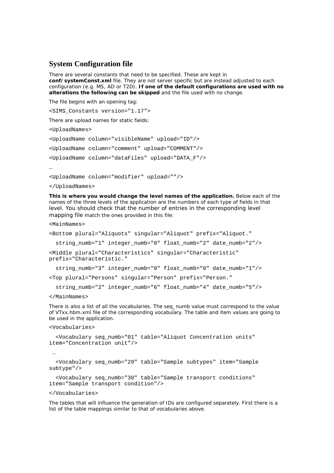#### **System Configuration file**

There are several constants that need to be specified. These are kept in **conf/systemConst.xml** file. They are not server specific but are instead adjusted to each configuration (e.g. MS, AD or T2D). **If one of the default configurations are used with no alterations the following can be skipped** and the file used with no change.

The file begins with an opening tag:

<SIMS\_Constants version="1.17">

There are upload names for static fields:

<UploadNames>

<UploadName column="visibleName" upload="ID"/>

<UploadName column="comment" upload="COMMENT"/>

<UploadName column="dataFiles" upload="DATA\_F"/>

…

<UploadName column="modifier" upload=""/>

</UploadNames>

**This is where you would change the level names of the application.** Below each of the names of the three levels of the application are the numbers of each type of fields in that level. You should check that the number of entries in the corresponding level mapping file match the ones provided in this file:

<MainNames>

```
<Bottom plural="Aliquots" singular="Aliquot" prefix="Aliquot." 
   string_numb="1" integer_numb="0" float_numb="2" date_numb="2"/> 
<Middle plural="Characteristics" singular="Characteristic" 
prefix="Characteristic." 
   string_numb="3" integer_numb="0" float_numb="0" date_numb="1"/> 
<Top plural="Persons" singular="Person" prefix="Person." 
   string_numb="2" integer_numb="6" float_numb="4" date_numb="5"/>
```
</MainNames>

There is also a list of all the vocabularies. The seq\_numb value must correspond to the value of VTxx.hbm.xml file of the corresponding vocabulary. The table and item values are going to be used in the application.

```
<Vocabularies>
```
…

```
 <Vocabulary seq_numb="01" table="Aliquot Concentration units" 
item="Concentration unit"/>
```

```
 <Vocabulary seq_numb="29" table="Sample subtypes" item="Sample 
subtype"/>
```

```
 <Vocabulary seq_numb="30" table="Sample transport conditions" 
item="Sample transport condition"/>
```
#### </Vocabularies>

The tables that will influence the generation of IDs are configured separately. First there is a list of the table mappings similar to that of vocabularies above.